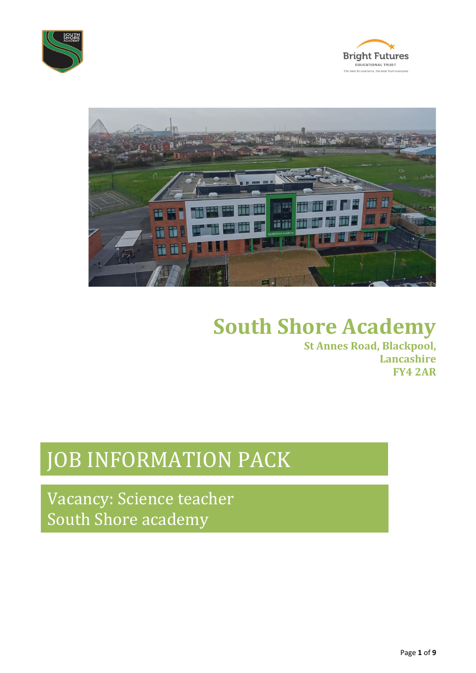





# **South Shore Academy**

**St Annes Road, Blackpool, Lancashire FY4 2AR**

# JOB INFORMATION PACK

Vacancy: Science teacher South Shore academy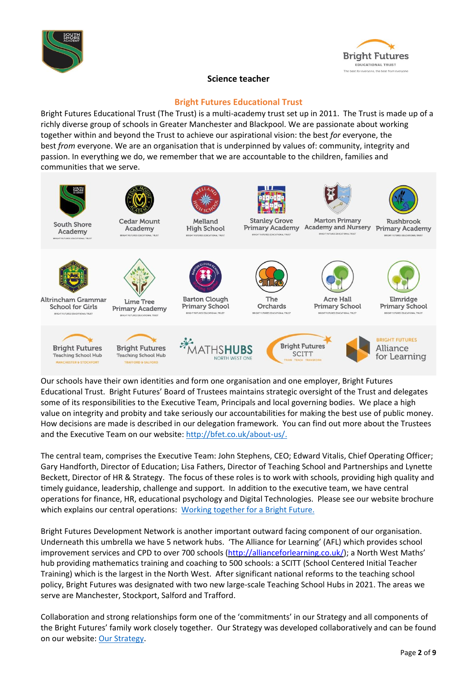



# **Science teacher**

# **Bright Futures Educational Trust**

Bright Futures Educational Trust (The Trust) is a multi-academy trust set up in 2011. The Trust is made up of a richly diverse group of schools in Greater Manchester and Blackpool. We are passionate about working together within and beyond the Trust to achieve our aspirational vision: the best *for* everyone, the best *from* everyone. We are an organisation that is underpinned by values of: community, integrity and passion. In everything we do, we remember that we are accountable to the children, families and communities that we serve.



Our schools have their own identities and form one organisation and one employer, Bright Futures Educational Trust. Bright Futures' Board of Trustees maintains strategic oversight of the Trust and delegates some of its responsibilities to the Executive Team, Principals and local governing bodies. We place a high value on integrity and probity and take seriously our accountabilities for making the best use of public money. How decisions are made is described in our delegation framework. You can find out more about the Trustees and the Executive Team on our website: [http://bfet.co.uk/about-us/.](http://bfet.co.uk/about-us/)

The central team, comprises the Executive Team: John Stephens, CEO; Edward Vitalis, Chief Operating Officer; Gary Handforth, Director of Education; Lisa Fathers, Director of Teaching School and Partnerships and Lynette Beckett, Director of HR & Strategy. The focus of these roles is to work with schools, providing high quality and timely guidance, leadership, challenge and support. In addition to the executive team, we have central operations for finance, HR, educational psychology and Digital Technologies. Please see our website brochure which explains our central operations: [Working](http://bfet.co.uk/wp-content/uploads/2019/07/BFET-Booklet-July-2019.pdf) together for a Bright Future.

Bright Futures Development Network is another important outward facing component of our organisation. Underneath this umbrella we have 5 network hubs. 'The Alliance for Learning' (AFL) which provides school improvement services and CPD to over 700 schools [\(http://allianceforlearning.co.uk/\)](http://allianceforlearning.co.uk/); a North West Maths' hub providing mathematics training and coaching to 500 schools: a SCITT (School Centered Initial Teacher Training) which is the largest in the North West. After significant national reforms to the teaching school policy, Bright Futures was designated with two new large-scale Teaching School Hubs in 2021. The areas we serve are Manchester, Stockport, Salford and Trafford.

Collaboration and strong relationships form one of the 'commitments' in our Strategy and all components of the Bright Futures' family work closely together. Our Strategy was developed collaboratively and can be found on our website: Our [Strategy.](http://bfet.co.uk/about-us/our-strategy/)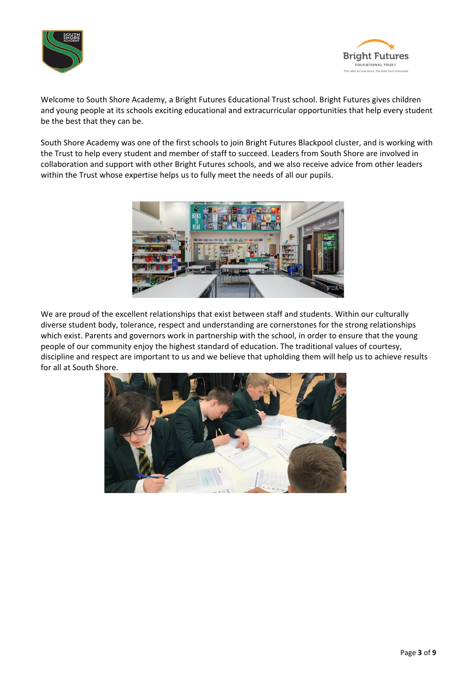



Welcome to South Shore Academy, a Bright Futures Educational Trust school. Bright Futures gives children and young people at its schools exciting educational and extracurricular opportunities that help every student be the best that they can be.

South Shore Academy was one of the first schools to join Bright Futures Blackpool cluster, and is working with the Trust to help every student and member of staff to succeed. Leaders from South Shore are involved in collaboration and support with other Bright Futures schools, and we also receive advice from other leaders within the Trust whose expertise helps us to fully meet the needs of all our pupils.



We are proud of the excellent relationships that exist between staff and students. Within our culturally diverse student body, tolerance, respect and understanding are cornerstones for the strong relationships which exist. Parents and governors work in partnership with the school, in order to ensure that the young people of our community enjoy the highest standard of education. The traditional values of courtesy, discipline and respect are important to us and we believe that upholding them will help us to achieve results for all at South Shore.

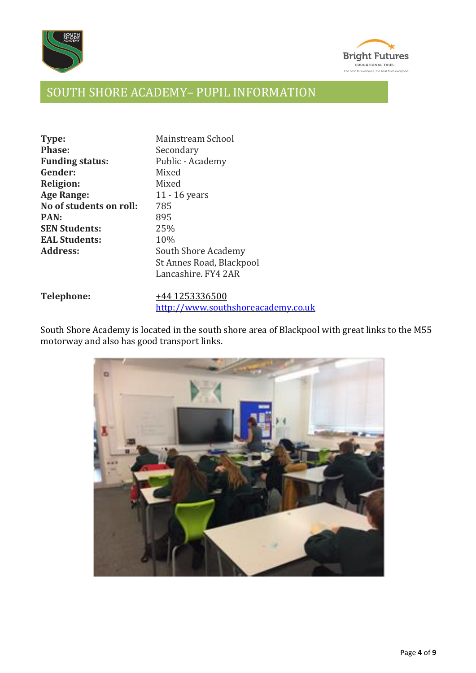



# SOUTH SHORE ACADEMY– PUPIL INFORMATION

| Type:                   | Mainstream School        |
|-------------------------|--------------------------|
| <b>Phase:</b>           | Secondary                |
| <b>Funding status:</b>  | Public - Academy         |
| Gender:                 | Mixed                    |
| <b>Religion:</b>        | Mixed                    |
| <b>Age Range:</b>       | 11 - 16 years            |
| No of students on roll: | 785                      |
| <b>PAN:</b>             | 895                      |
| <b>SEN Students:</b>    | 25%                      |
| <b>EAL Students:</b>    | 10%                      |
| <b>Address:</b>         | South Shore Academy      |
|                         | St Annes Road, Blackpool |
|                         | Lancashire, FY4 2AR      |
|                         |                          |

| <b>Telephone:</b> | +44 1253336500 |                                    |  |
|-------------------|----------------|------------------------------------|--|
|                   |                | http://www.southshoreacademy.co.uk |  |

South Shore Academy is located in the south shore area of Blackpool with great links to the M55 motorway and also has good transport links.

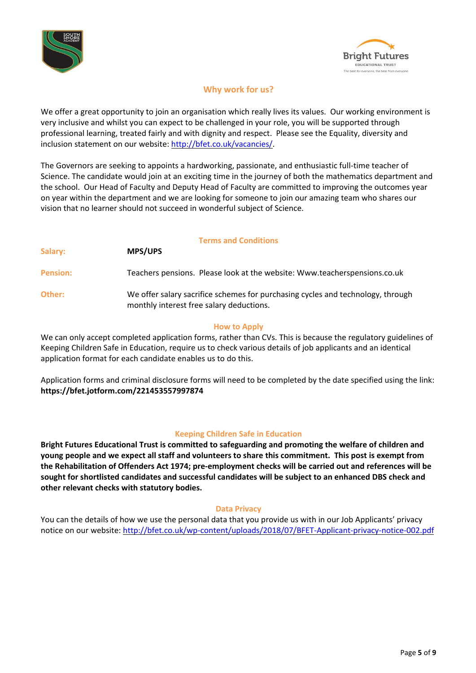



# **Why work for us?**

We offer a great opportunity to join an organisation which really lives its values. Our working environment is very inclusive and whilst you can expect to be challenged in your role, you will be supported through professional learning, treated fairly and with dignity and respect. Please see the Equality, diversity and inclusion statement on our website: [http://bfet.co.uk/vacancies/.](http://bfet.co.uk/vacancies/)

The Governors are seeking to appoints a hardworking, passionate, and enthusiastic full-time teacher of Science. The candidate would join at an exciting time in the journey of both the mathematics department and the school. Our Head of Faculty and Deputy Head of Faculty are committed to improving the outcomes year on year within the department and we are looking for someone to join our amazing team who shares our vision that no learner should not succeed in wonderful subject of Science.

# **Terms and Conditions**

| Salary:         | <b>MPS/UPS</b>                                                                                                              |
|-----------------|-----------------------------------------------------------------------------------------------------------------------------|
| <b>Pension:</b> | Teachers pensions. Please look at the website: Www.teacherspensions.co.uk                                                   |
| Other:          | We offer salary sacrifice schemes for purchasing cycles and technology, through<br>monthly interest free salary deductions. |

# **How to Apply**

We can only accept completed application forms, rather than CVs. This is because the regulatory guidelines of Keeping Children Safe in Education, require us to check various details of job applicants and an identical application format for each candidate enables us to do this.

Application forms and criminal disclosure forms will need to be completed by the date specified using the link: **https://bfet.jotform.com/221453557997874**

# **Keeping Children Safe in Education**

**Bright Futures Educational Trust is committed to safeguarding and promoting the welfare of children and young people and we expect all staff and volunteers to share this commitment. This post is exempt from the Rehabilitation of Offenders Act 1974; pre-employment checks will be carried out and references will be sought for shortlisted candidates and successful candidates will be subject to an enhanced DBS check and other relevant checks with statutory bodies.**

# **Data Privacy**

You can the details of how we use the personal data that you provide us with in our Job Applicants' privacy notice on our website: <http://bfet.co.uk/wp-content/uploads/2018/07/BFET-Applicant-privacy-notice-002.pdf>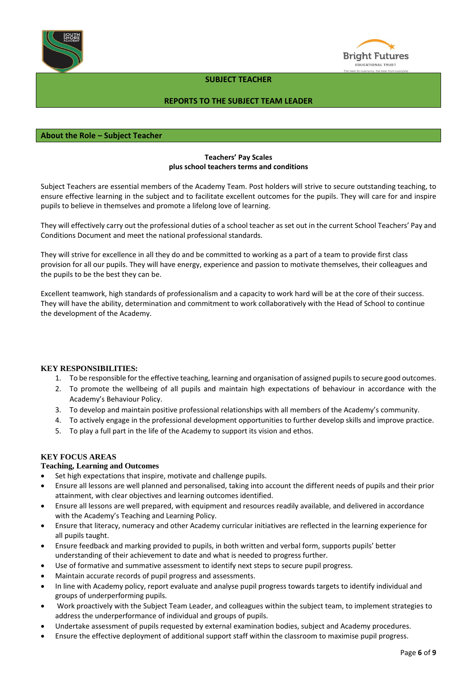



## **SUBJECT TEACHER**

# **REPORTS TO THE SUBJECT TEAM LEADER**

# **About the Role – Subject Teacher**

# **Teachers' Pay Scales plus school teachers terms and conditions**

Subject Teachers are essential members of the Academy Team. Post holders will strive to secure outstanding teaching, to ensure effective learning in the subject and to facilitate excellent outcomes for the pupils. They will care for and inspire pupils to believe in themselves and promote a lifelong love of learning.

They will effectively carry out the professional duties of a school teacher as set out in the current School Teachers' Pay and Conditions Document and meet the national professional standards.

They will strive for excellence in all they do and be committed to working as a part of a team to provide first class provision for all our pupils. They will have energy, experience and passion to motivate themselves, their colleagues and the pupils to be the best they can be.

Excellent teamwork, high standards of professionalism and a capacity to work hard will be at the core of their success. They will have the ability, determination and commitment to work collaboratively with the Head of School to continue the development of the Academy.

### **KEY RESPONSIBILITIES:**

- 1. To be responsible forthe effective teaching, learning and organisation of assigned pupilsto secure good outcomes.
- 2. To promote the wellbeing of all pupils and maintain high expectations of behaviour in accordance with the Academy's Behaviour Policy.
- 3. To develop and maintain positive professional relationships with all members of the Academy's community.
- 4. To actively engage in the professional development opportunities to further develop skills and improve practice.
- 5. To play a full part in the life of the Academy to support its vision and ethos.

### **KEY FOCUS AREAS**

### **Teaching, Learning and Outcomes**

- Set high expectations that inspire, motivate and challenge pupils.
- Ensure all lessons are well planned and personalised, taking into account the different needs of pupils and their prior attainment, with clear objectives and learning outcomes identified.
- Ensure all lessons are well prepared, with equipment and resources readily available, and delivered in accordance with the Academy's Teaching and Learning Policy.
- Ensure that literacy, numeracy and other Academy curricular initiatives are reflected in the learning experience for all pupils taught.
- Ensure feedback and marking provided to pupils, in both written and verbal form, supports pupils' better understanding of their achievement to date and what is needed to progress further.
- Use of formative and summative assessment to identify next steps to secure pupil progress.
- Maintain accurate records of pupil progress and assessments.
- In line with Academy policy, report evaluate and analyse pupil progress towards targets to identify individual and groups of underperforming pupils.
- Work proactively with the Subject Team Leader, and colleagues within the subject team, to implement strategies to address the underperformance of individual and groups of pupils.
- Undertake assessment of pupils requested by external examination bodies, subject and Academy procedures.
- Ensure the effective deployment of additional support staff within the classroom to maximise pupil progress.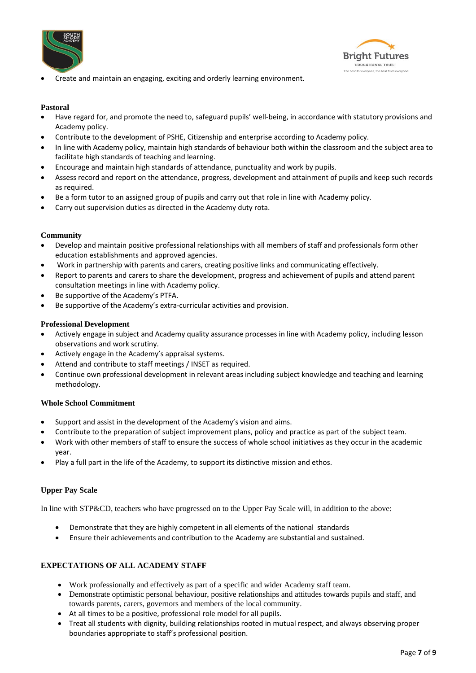



• Create and maintain an engaging, exciting and orderly learning environment.

## **Pastoral**

- Have regard for, and promote the need to, safeguard pupils' well-being, in accordance with statutory provisions and Academy policy.
- Contribute to the development of PSHE, Citizenship and enterprise according to Academy policy.
- In line with Academy policy, maintain high standards of behaviour both within the classroom and the subject area to facilitate high standards of teaching and learning.
- Encourage and maintain high standards of attendance, punctuality and work by pupils.
- Assess record and report on the attendance, progress, development and attainment of pupils and keep such records as required.
- Be a form tutor to an assigned group of pupils and carry out that role in line with Academy policy.
- Carry out supervision duties as directed in the Academy duty rota.

### **Community**

- Develop and maintain positive professional relationships with all members of staff and professionals form other education establishments and approved agencies.
- Work in partnership with parents and carers, creating positive links and communicating effectively.
- Report to parents and carers to share the development, progress and achievement of pupils and attend parent consultation meetings in line with Academy policy.
- Be supportive of the Academy's PTFA.
- Be supportive of the Academy's extra-curricular activities and provision.

### **Professional Development**

- Actively engage in subject and Academy quality assurance processes in line with Academy policy, including lesson observations and work scrutiny.
- Actively engage in the Academy's appraisal systems.
- Attend and contribute to staff meetings / INSET as required.
- Continue own professional development in relevant areas including subject knowledge and teaching and learning methodology.

### **Whole School Commitment**

- Support and assist in the development of the Academy's vision and aims.
- Contribute to the preparation of subject improvement plans, policy and practice as part of the subject team.
- Work with other members of staff to ensure the success of whole school initiatives as they occur in the academic year.
- Play a full part in the life of the Academy, to support its distinctive mission and ethos.

### **Upper Pay Scale**

In line with STP&CD, teachers who have progressed on to the Upper Pay Scale will, in addition to the above:

- Demonstrate that they are highly competent in all elements of the national standards
- Ensure their achievements and contribution to the Academy are substantial and sustained.

### **EXPECTATIONS OF ALL ACADEMY STAFF**

- Work professionally and effectively as part of a specific and wider Academy staff team.
- Demonstrate optimistic personal behaviour, positive relationships and attitudes towards pupils and staff, and towards parents, carers, governors and members of the local community.
- At all times to be a positive, professional role model for all pupils.
- Treat all students with dignity, building relationships rooted in mutual respect, and always observing proper boundaries appropriate to staff's professional position.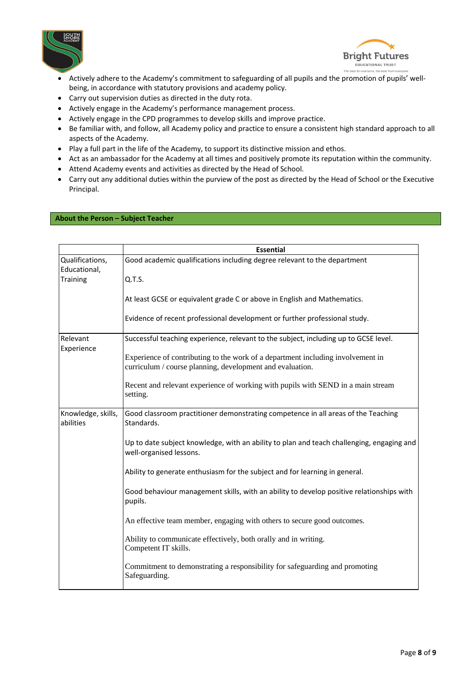



- Actively adhere to the Academy's commitment to safeguarding of all pupils and the promotion of pupils' wellbeing, in accordance with statutory provisions and academy policy.
- Carry out supervision duties as directed in the duty rota.
- Actively engage in the Academy's performance management process.
- Actively engage in the CPD programmes to develop skills and improve practice.
- Be familiar with, and follow, all Academy policy and practice to ensure a consistent high standard approach to all aspects of the Academy.
- Play a full part in the life of the Academy, to support its distinctive mission and ethos.
- Act as an ambassador for the Academy at all times and positively promote its reputation within the community.
- Attend Academy events and activities as directed by the Head of School.
- Carry out any additional duties within the purview of the post as directed by the Head of School or the Executive Principal.

#### **About the Person – Subject Teacher**

|                                 | <b>Essential</b>                                                                                                                             |
|---------------------------------|----------------------------------------------------------------------------------------------------------------------------------------------|
| Qualifications,                 | Good academic qualifications including degree relevant to the department                                                                     |
| Educational,<br>Training        | Q.T.S.                                                                                                                                       |
|                                 |                                                                                                                                              |
|                                 | At least GCSE or equivalent grade C or above in English and Mathematics.                                                                     |
|                                 | Evidence of recent professional development or further professional study.                                                                   |
| Relevant<br>Experience          | Successful teaching experience, relevant to the subject, including up to GCSE level.                                                         |
|                                 | Experience of contributing to the work of a department including involvement in<br>curriculum / course planning, development and evaluation. |
|                                 | Recent and relevant experience of working with pupils with SEND in a main stream<br>setting.                                                 |
| Knowledge, skills,<br>abilities | Good classroom practitioner demonstrating competence in all areas of the Teaching<br>Standards.                                              |
|                                 | Up to date subject knowledge, with an ability to plan and teach challenging, engaging and<br>well-organised lessons.                         |
|                                 | Ability to generate enthusiasm for the subject and for learning in general.                                                                  |
|                                 | Good behaviour management skills, with an ability to develop positive relationships with<br>pupils.                                          |
|                                 | An effective team member, engaging with others to secure good outcomes.                                                                      |
|                                 | Ability to communicate effectively, both orally and in writing.<br>Competent IT skills.                                                      |
|                                 | Commitment to demonstrating a responsibility for safeguarding and promoting<br>Safeguarding.                                                 |